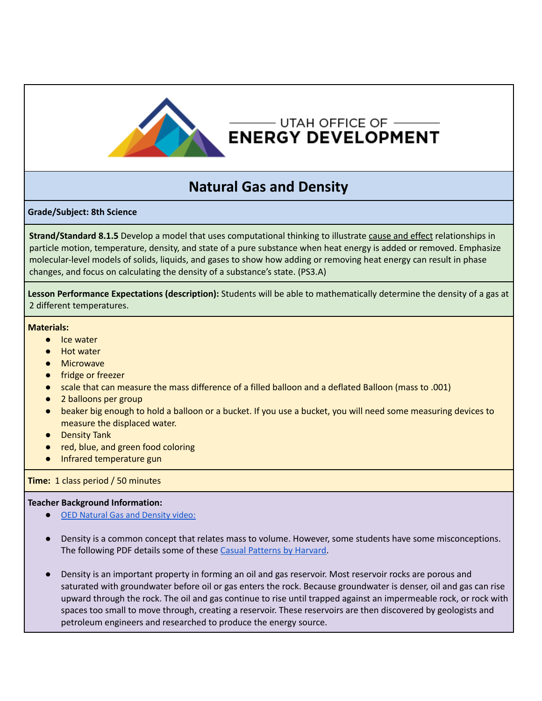

## —— UTAH OFFICE OF  $-\hspace{-1.5mm}-\hspace{-1.5mm}-\hspace{-1.5mm}-\hspace{-1.5mm}-\hspace{-1.5mm}-\hspace{-1.5mm}-\hspace{-1.5mm}-\hspace{-1.5mm}-\hspace{-1.5mm}-\hspace{-1.5mm}-\hspace{-1.5mm}-\hspace{-1.5mm}-\hspace{-1.5mm}-\hspace{-1.5mm}-\hspace{-1.5mm}-\hspace{-1.5mm}-\hspace{-1.5mm}-\hspace{-1.5mm}-\hspace{-1.5mm}-\hspace{-1.5mm}-\hspace{-1.5mm}-\hspace{-1.5mm}-\hspace{-$ **ENERGY DEVELOPMENT**

# **Natural Gas and Density**

### **Grade/Subject: 8th Science**

**Strand/Standard 8.1.5** Develop a model that uses computational thinking to illustrate cause and effect relationships in particle motion, temperature, density, and state of a pure substance when heat energy is added or removed. Emphasize molecular-level models of solids, liquids, and gases to show how adding or removing heat energy can result in phase changes, and focus on calculating the density of a substance's state. (PS3.A)

**Lesson Performance Expectations (description):** Students will be able to mathematically determine the density of a gas at 2 different temperatures.

#### **Materials:**

- Ice water
- Hot water
- Microwave
- fridge or freezer
- scale that can measure the mass difference of a filled balloon and a deflated Balloon (mass to .001)
- 2 balloons per group
- beaker big enough to hold a balloon or a bucket. If you use a bucket, you will need some measuring devices to measure the displaced water.
- Density Tank
- red, blue, and green food coloring
- Infrared temperature gun

#### **Time:** 1 class period / 50 minutes

#### **Teacher Background Information:**

- [OED Natural Gas and Density video:](https://www.youtube.com/watch?v=a6-eHplM10w)
- Density is a common concept that relates mass to volume. However, some students have some misconceptions. The following PDF details some of these Casual [Patterns](http://causalpatterns.org/pdfs/Densityoverview.pdf) by Harvard.
- Density is an important property in forming an oil and gas reservoir. Most reservoir rocks are porous and saturated with groundwater before oil or gas enters the rock. Because groundwater is denser, oil and gas can rise upward through the rock. The oil and gas continue to rise until trapped against an impermeable rock, or rock with spaces too small to move through, creating a reservoir. These reservoirs are then discovered by geologists and petroleum engineers and researched to produce the energy source.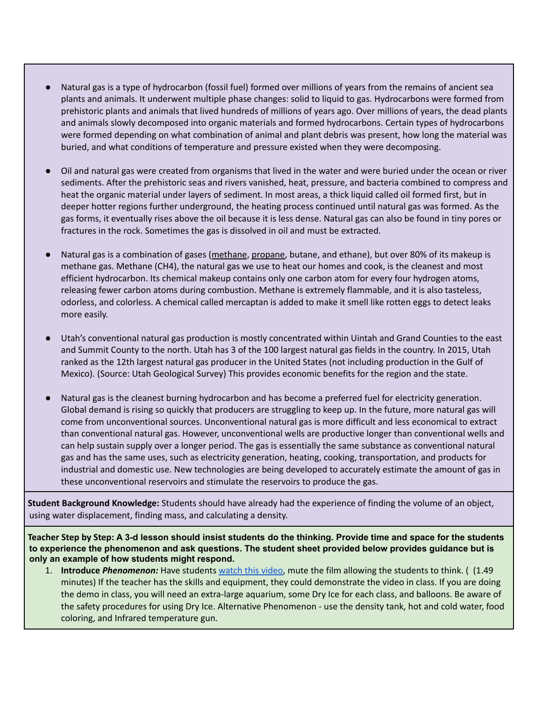- Natural gas is a type of hydrocarbon (fossil fuel) formed over millions of years from the remains of ancient sea plants and animals. It underwent multiple phase changes: solid to liquid to gas. Hydrocarbons were formed from prehistoric plants and animals that lived hundreds of millions of years ago. Over millions of years, the dead plants and animals slowly decomposed into organic materials and formed hydrocarbons. Certain types of hydrocarbons were formed depending on what combination of animal and plant debris was present, how long the material was buried, and what conditions of temperature and pressure existed when they were decomposing.
- Oil and natural gas were created from organisms that lived in the water and were buried under the ocean or river sediments. After the prehistoric seas and rivers vanished, heat, pressure, and bacteria combined to compress and heat the organic material under layers of sediment. In most areas, a thick liquid called oil formed first, but in deeper hotter regions further underground, the heating process continued until natural gas was formed. As the gas forms, it eventually rises above the oil because it is less dense. Natural gas can also be found in tiny pores or fractures in the rock. Sometimes the gas is dissolved in oil and must be extracted.
- Natural gas is a combination of gases [\(methane](https://utahenergyed.org/lessons/), [propane,](https://utahenergyed.org/lessons/) butane, and ethane), but over 80% of its makeup is methane gas. Methane (CH4), the natural gas we use to heat our homes and cook, is the cleanest and most efficient hydrocarbon. Its chemical makeup contains only one carbon atom for every four hydrogen atoms, releasing fewer carbon atoms during combustion. Methane is extremely flammable, and it is also tasteless, odorless, and colorless. A chemical called mercaptan is added to make it smell like rotten eggs to detect leaks more easily.
- Utah's conventional natural gas production is mostly concentrated within Uintah and Grand Counties to the east and Summit County to the north. Utah has 3 of the 100 largest natural gas fields in the country. In 2015, Utah ranked as the 12th largest natural gas producer in the United States (not including production in the Gulf of Mexico). (Source: Utah Geological Survey) This provides economic benefits for the region and the state.
- Natural gas is the cleanest burning hydrocarbon and has become a preferred fuel for electricity generation. Global demand is rising so quickly that producers are struggling to keep up. In the future, more natural gas will come from unconventional sources. Unconventional natural gas is more difficult and less economical to extract than conventional natural gas. However, unconventional wells are productive longer than conventional wells and can help sustain supply over a longer period. The gas is essentially the same substance as conventional natural gas and has the same uses, such as electricity generation, heating, cooking, transportation, and products for industrial and domestic use. New technologies are being developed to accurately estimate the amount of gas in these unconventional reservoirs and stimulate the reservoirs to produce the gas.

**Student Background Knowledge:** Students should have already had the experience of finding the volume of an object, using water displacement, finding mass, and calculating a density.

Teacher Step by Step: A 3-d lesson should insist students do the thinking. Provide time and space for the students **to experience the phenomenon and ask questions. The student sheet provided below provides guidance but is only an example of how students might respond.**

1. **Introduce** *Phenomenon:* Have students [watch](https://www.youtube.com/watch?v=DgVWbuFTd4c) this video, mute the film allowing the students to think. ( (1.49 minutes) If the teacher has the skills and equipment, they could demonstrate the video in class. If you are doing the demo in class, you will need an extra-large aquarium, some Dry Ice for each class, and balloons. Be aware of the safety procedures for using Dry Ice. Alternative Phenomenon - use the density tank, hot and cold water, food coloring, and Infrared temperature gun.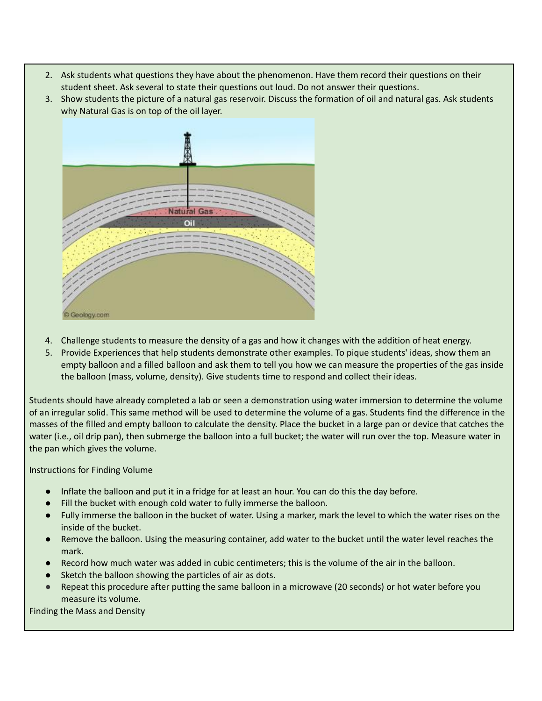- 2. Ask students what questions they have about the phenomenon. Have them record their questions on their student sheet. Ask several to state their questions out loud. Do not answer their questions.
- 3. Show students the picture of a natural gas reservoir. Discuss the formation of oil and natural gas. Ask students why Natural Gas is on top of the oil layer.



- 4. Challenge students to measure the density of a gas and how it changes with the addition of heat energy.
- 5. Provide Experiences that help students demonstrate other examples. To pique students' ideas, show them an empty balloon and a filled balloon and ask them to tell you how we can measure the properties of the gas inside the balloon (mass, volume, density). Give students time to respond and collect their ideas.

Students should have already completed a lab or seen a demonstration using water immersion to determine the volume of an irregular solid. This same method will be used to determine the volume of a gas. Students find the difference in the masses of the filled and empty balloon to calculate the density. Place the bucket in a large pan or device that catches the water (i.e., oil drip pan), then submerge the balloon into a full bucket; the water will run over the top. Measure water in the pan which gives the volume.

Instructions for Finding Volume

- Inflate the balloon and put it in a fridge for at least an hour. You can do this the day before.
- Fill the bucket with enough cold water to fully immerse the balloon.
- Fully immerse the balloon in the bucket of water. Using a marker, mark the level to which the water rises on the inside of the bucket.
- Remove the balloon. Using the measuring container, add water to the bucket until the water level reaches the mark.
- Record how much water was added in cubic centimeters; this is the volume of the air in the balloon.
- Sketch the balloon showing the particles of air as dots.
- Repeat this procedure after putting the same balloon in a microwave (20 seconds) or hot water before you measure its volume.

Finding the Mass and Density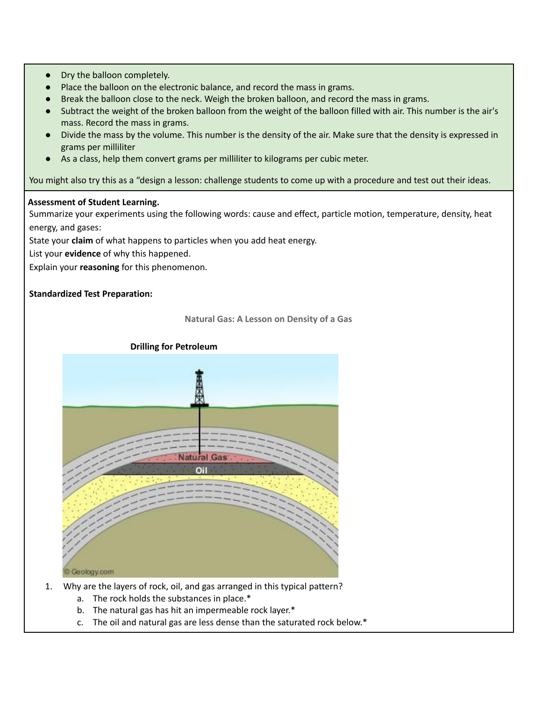- Dry the balloon completely.
- Place the balloon on the electronic balance, and record the mass in grams.
- Break the balloon close to the neck. Weigh the broken balloon, and record the mass in grams.
- Subtract the weight of the broken balloon from the weight of the balloon filled with air. This number is the air's mass. Record the mass in grams.
- Divide the mass by the volume. This number is the density of the air. Make sure that the density is expressed in grams per milliliter
- As a class, help them convert grams per milliliter to kilograms per cubic meter.

You might also try this as a "design a lesson: challenge students to come up with a procedure and test out their ideas.

#### **Assessment of Student Learning.**

Summarize your experiments using the following words: cause and effect, particle motion, temperature, density, heat energy, and gases:

State your **claim** of what happens to particles when you add heat energy.

List your **evidence** of why this happened.

Explain your **reasoning** for this phenomenon.

#### **Standardized Test Preparation:**



- 1. Why are the layers of rock, oil, and gas arranged in this typical pattern?
	- a. The rock holds the substances in place.\*
	- b. The natural gas has hit an impermeable rock layer.\*
	- c. The oil and natural gas are less dense than the saturated rock below.\*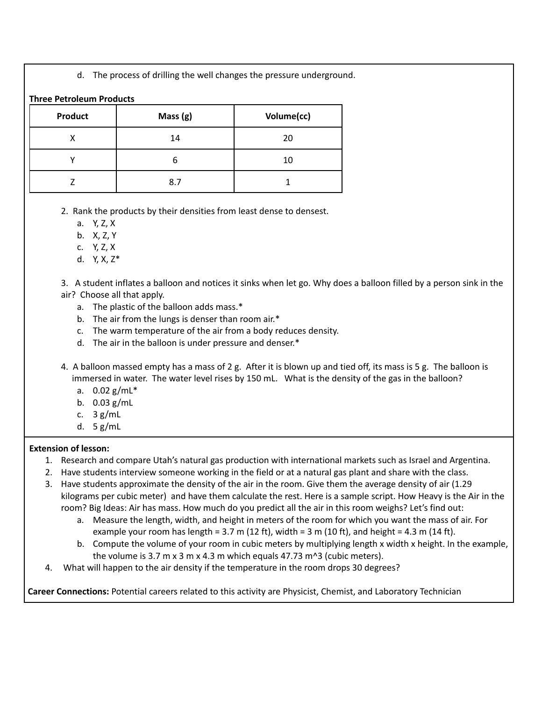d. The process of drilling the well changes the pressure underground.

| <b>Product</b> | Mass $(g)$ | Volume(cc) |
|----------------|------------|------------|
| х              | 14         | 20         |
|                | h          | 10         |
|                | 8.7        |            |

- 2. Rank the products by their densities from least dense to densest.
	- a. Y, Z, X
	- b. X, Z, Y
	- c. Y, Z, X
	- d. Y, X, Z\*

3. A student inflates a balloon and notices it sinks when let go. Why does a balloon filled by a person sink in the air? Choose all that apply.

- a. The plastic of the balloon adds mass.\*
- b. The air from the lungs is denser than room air.\*
- c. The warm temperature of the air from a body reduces density.
- d. The air in the balloon is under pressure and denser.\*
- 4. A balloon massed empty has a mass of 2 g. After it is blown up and tied off, its mass is 5 g. The balloon is immersed in water. The water level rises by 150 mL. What is the density of the gas in the balloon?
	- a. 0.02 g/mL\*
	- b. 0.03 g/mL
	- c. 3 g/mL
	- d. 5 g/mL

### **Extension of lesson:**

- 1. Research and compare Utah's natural gas production with international markets such as Israel and Argentina.
- 2. Have students interview someone working in the field or at a natural gas plant and share with the class.
- 3. Have students approximate the density of the air in the room. Give them the average density of air (1.29 kilograms per cubic meter) and have them calculate the rest. Here is a sample script. How Heavy is the Air in the room? Big Ideas: Air has mass. How much do you predict all the air in this room weighs? Let's find out:
	- a. Measure the length, width, and height in meters of the room for which you want the mass of air. For example your room has length =  $3.7$  m (12 ft), width =  $3$  m (10 ft), and height =  $4.3$  m (14 ft).
	- b. Compute the volume of your room in cubic meters by multiplying length x width x height. In the example, the volume is 3.7 m x 3 m x 4.3 m which equals 47.73 m^3 (cubic meters).
- 4. What will happen to the air density if the temperature in the room drops 30 degrees?

**Career Connections:** Potential careers related to this activity are Physicist, Chemist, and Laboratory Technician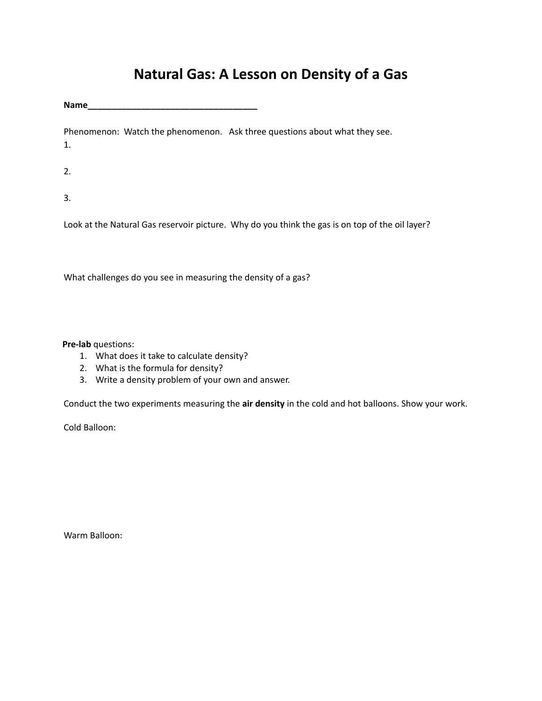# **Natural Gas: A Lesson on Density of a Gas**

**Name\_\_\_\_\_\_\_\_\_\_\_\_\_\_\_\_\_\_\_\_\_\_\_\_\_\_\_\_\_\_\_\_\_\_\_**

Phenomenon: Watch the phenomenon. Ask three questions about what they see. 1.

2.

3.

Look at the Natural Gas reservoir picture. Why do you think the gas is on top of the oil layer?

What challenges do you see in measuring the density of a gas?

**Pre-lab** questions:

- 1. What does it take to calculate density?
- 2. What is the formula for density?
- 3. Write a density problem of your own and answer.

Conduct the two experiments measuring the **air density** in the cold and hot balloons. Show your work.

Cold Balloon:

Warm Balloon: